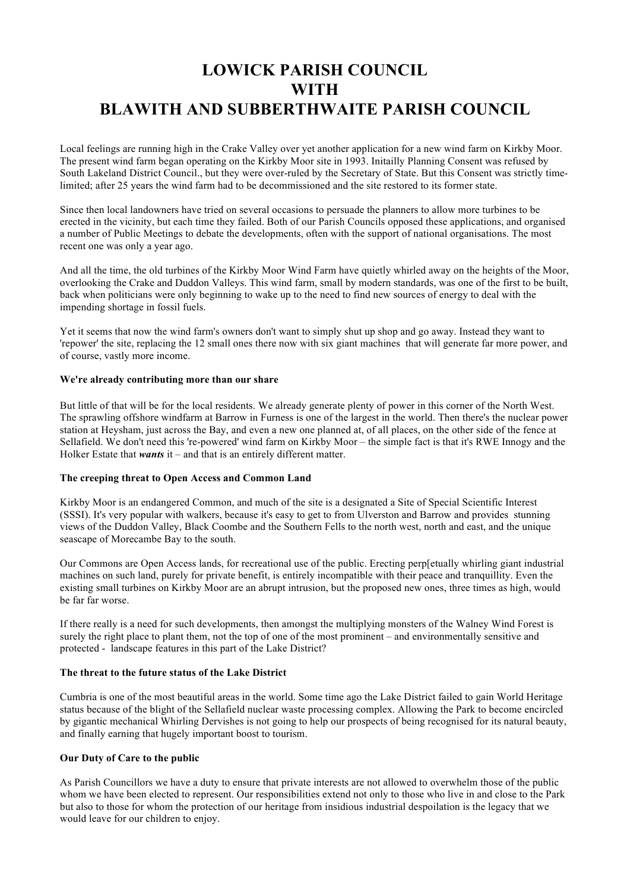# **LOWICK PARISH COUNCIL WITH BLAWITH AND SUBBERTHWAITE PARISH COUNCIL**

Local feelings are running high in the Crake Valley over yet another application for a new wind farm on Kirkby Moor. The present wind farm began operating on the Kirkby Moor site in 1993. Initailly Planning Consent was refused by South Lakeland District Council., but they were over-ruled by the Secretary of State. But this Consent was strictly timelimited; after 25 years the wind farm had to be decommissioned and the site restored to its former state.

Since then local landowners have tried on several occasions to persuade the planners to allow more turbines to be erected in the vicinity, but each time they failed. Both of our Parish Councils opposed these applications, and organised a number of Public Meetings to debate the developments, often with the support of national organisations. The most recent one was only a year ago.

And all the time, the old turbines of the Kirkby Moor Wind Farm have quietly whirled away on the heights of the Moor, overlooking the Crake and Duddon Valleys. This wind farm, small by modern standards, was one of the first to be built, back when politicians were only beginning to wake up to the need to find new sources of energy to deal with the impending shortage in fossil fuels.

Yet it seems that now the wind farm's owners don't want to simply shut up shop and go away. Instead they want to 'repower' the site, replacing the 12 small ones there now with six giant machines that will generate far more power, and of course, vastly more income.

# **We're already contributing more than our share**

But little of that will be for the local residents. We already generate plenty of power in this corner of the North West. The sprawling offshore windfarm at Barrow in Furness is one of the largest in the world. Then there's the nuclear power station at Heysham, just across the Bay, and even a new one planned at, of all places, on the other side of the fence at Sellafield. We don't need this 're-powered' wind farm on Kirkby Moor – the simple fact is that it's RWE Innogy and the Holker Estate that *wants* it – and that is an entirely different matter.

## **The creeping threat to Open Access and Common Land**

Kirkby Moor is an endangered Common, and much of the site is a designated a Site of Special Scientific Interest (SSSI). It's very popular with walkers, because it's easy to get to from Ulverston and Barrow and provides stunning views of the Duddon Valley, Black Coombe and the Southern Fells to the north west, north and east, and the unique seascape of Morecambe Bay to the south.

Our Commons are Open Access lands, for recreational use of the public. Erecting perp[etually whirling giant industrial machines on such land, purely for private benefit, is entirely incompatible with their peace and tranquillity. Even the existing small turbines on Kirkby Moor are an abrupt intrusion, but the proposed new ones, three times as high, would be far far worse.

If there really is a need for such developments, then amongst the multiplying monsters of the Walney Wind Forest is surely the right place to plant them, not the top of one of the most prominent – and environmentally sensitive and protected - landscape features in this part of the Lake District?

### **The threat to the future status of the Lake District**

Cumbria is one of the most beautiful areas in the world. Some time ago the Lake District failed to gain World Heritage status because of the blight of the Sellafield nuclear waste processing complex. Allowing the Park to become encircled by gigantic mechanical Whirling Dervishes is not going to help our prospects of being recognised for its natural beauty, and finally earning that hugely important boost to tourism.

# **Our Duty of Care to the public**

As Parish Councillors we have a duty to ensure that private interests are not allowed to overwhelm those of the public whom we have been elected to represent. Our responsibilities extend not only to those who live in and close to the Park but also to those for whom the protection of our heritage from insidious industrial despoilation is the legacy that we would leave for our children to enjoy.